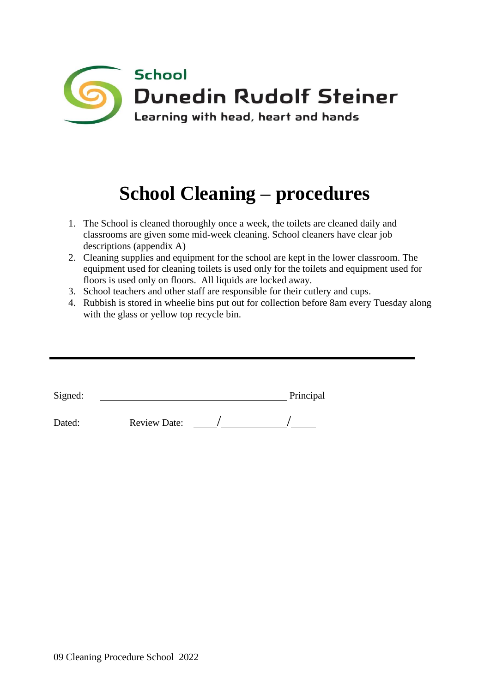

# **School Cleaning – procedures**

- 1. The School is cleaned thoroughly once a week, the toilets are cleaned daily and classrooms are given some mid-week cleaning. School cleaners have clear job descriptions (appendix A)
- 2. Cleaning supplies and equipment for the school are kept in the lower classroom. The equipment used for cleaning toilets is used only for the toilets and equipment used for floors is used only on floors. All liquids are locked away.
- 3. School teachers and other staff are responsible for their cutlery and cups.
- 4. Rubbish is stored in wheelie bins put out for collection before 8am every Tuesday along with the glass or yellow top recycle bin.

| Signed: |                     | Principal |
|---------|---------------------|-----------|
| Dated:  | <b>Review Date:</b> |           |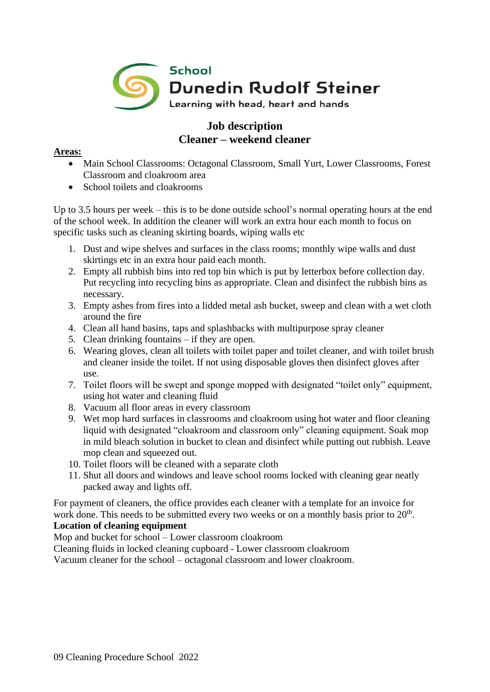

## **Job description Cleaner – weekend cleaner**

### **Areas:**

- Main School Classrooms: Octagonal Classroom, Small Yurt, Lower Classrooms, Forest Classroom and cloakroom area
- School toilets and cloakrooms

Up to 3.5 hours per week – this is to be done outside school's normal operating hours at the end of the school week. In addition the cleaner will work an extra hour each month to focus on specific tasks such as cleaning skirting boards, wiping walls etc

- 1. Dust and wipe shelves and surfaces in the class rooms; monthly wipe walls and dust skirtings etc in an extra hour paid each month.
- 2. Empty all rubbish bins into red top bin which is put by letterbox before collection day. Put recycling into recycling bins as appropriate. Clean and disinfect the rubbish bins as necessary.
- 3. Empty ashes from fires into a lidded metal ash bucket, sweep and clean with a wet cloth around the fire
- 4. Clean all hand basins, taps and splashbacks with multipurpose spray cleaner
- 5. Clean drinking fountains if they are open.
- 6. Wearing gloves, clean all toilets with toilet paper and toilet cleaner, and with toilet brush and cleaner inside the toilet. If not using disposable gloves then disinfect gloves after use.
- 7. Toilet floors will be swept and sponge mopped with designated "toilet only" equipment, using hot water and cleaning fluid
- 8. Vacuum all floor areas in every classroom
- 9. Wet mop hard surfaces in classrooms and cloakroom using hot water and floor cleaning liquid with designated "cloakroom and classroom only" cleaning equipment. Soak mop in mild bleach solution in bucket to clean and disinfect while putting out rubbish. Leave mop clean and squeezed out.
- 10. Toilet floors will be cleaned with a separate cloth
- 11. Shut all doors and windows and leave school rooms locked with cleaning gear neatly packed away and lights off.

For payment of cleaners, the office provides each cleaner with a template for an invoice for work done. This needs to be submitted every two weeks or on a monthly basis prior to  $20<sup>th</sup>$ .

## **Location of cleaning equipment**

Mop and bucket for school – Lower classroom cloakroom

Cleaning fluids in locked cleaning cupboard - Lower classroom cloakroom

Vacuum cleaner for the school – octagonal classroom and lower cloakroom.